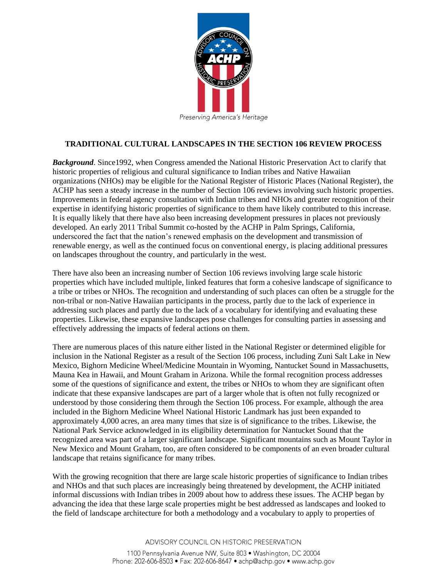

## **TRADITIONAL CULTURAL LANDSCAPES IN THE SECTION 106 REVIEW PROCESS**

*Background*. Since1992, when Congress amended the National Historic Preservation Act to clarify that historic properties of religious and cultural significance to Indian tribes and Native Hawaiian organizations (NHOs) may be eligible for the National Register of Historic Places (National Register), the ACHP has seen a steady increase in the number of Section 106 reviews involving such historic properties. Improvements in federal agency consultation with Indian tribes and NHOs and greater recognition of their expertise in identifying historic properties of significance to them have likely contributed to this increase. It is equally likely that there have also been increasing development pressures in places not previously developed. An early 2011 Tribal Summit co-hosted by the ACHP in Palm Springs, California, underscored the fact that the nation's renewed emphasis on the development and transmission of renewable energy, as well as the continued focus on conventional energy, is placing additional pressures on landscapes throughout the country, and particularly in the west.

There have also been an increasing number of Section 106 reviews involving large scale historic properties which have included multiple, linked features that form a cohesive landscape of significance to a tribe or tribes or NHOs. The recognition and understanding of such places can often be a struggle for the non-tribal or non-Native Hawaiian participants in the process, partly due to the lack of experience in addressing such places and partly due to the lack of a vocabulary for identifying and evaluating these properties. Likewise, these expansive landscapes pose challenges for consulting parties in assessing and effectively addressing the impacts of federal actions on them.

There are numerous places of this nature either listed in the National Register or determined eligible for inclusion in the National Register as a result of the Section 106 process, including Zuni Salt Lake in New Mexico, Bighorn Medicine Wheel/Medicine Mountain in Wyoming, Nantucket Sound in Massachusetts, Mauna Kea in Hawaii, and Mount Graham in Arizona. While the formal recognition process addresses some of the questions of significance and extent, the tribes or NHOs to whom they are significant often indicate that these expansive landscapes are part of a larger whole that is often not fully recognized or understood by those considering them through the Section 106 process. For example, although the area included in the Bighorn Medicine Wheel National Historic Landmark has just been expanded to approximately 4,000 acres, an area many times that size is of significance to the tribes. Likewise, the National Park Service acknowledged in its eligibility determination for Nantucket Sound that the recognized area was part of a larger significant landscape. Significant mountains such as Mount Taylor in New Mexico and Mount Graham, too, are often considered to be components of an even broader cultural landscape that retains significance for many tribes.

With the growing recognition that there are large scale historic properties of significance to Indian tribes and NHOs and that such places are increasingly being threatened by development, the ACHP initiated informal discussions with Indian tribes in 2009 about how to address these issues. The ACHP began by advancing the idea that these large scale properties might be best addressed as landscapes and looked to the field of landscape architecture for both a methodology and a vocabulary to apply to properties of

> ADVISORY COUNCIL ON HISTORIC PRESERVATION 1100 Pennsylvania Avenue NW, Suite 803 · Washington, DC 20004 Phone: 202-606-8503 • Fax: 202-606-8647 • achp@achp.gov • www.achp.gov